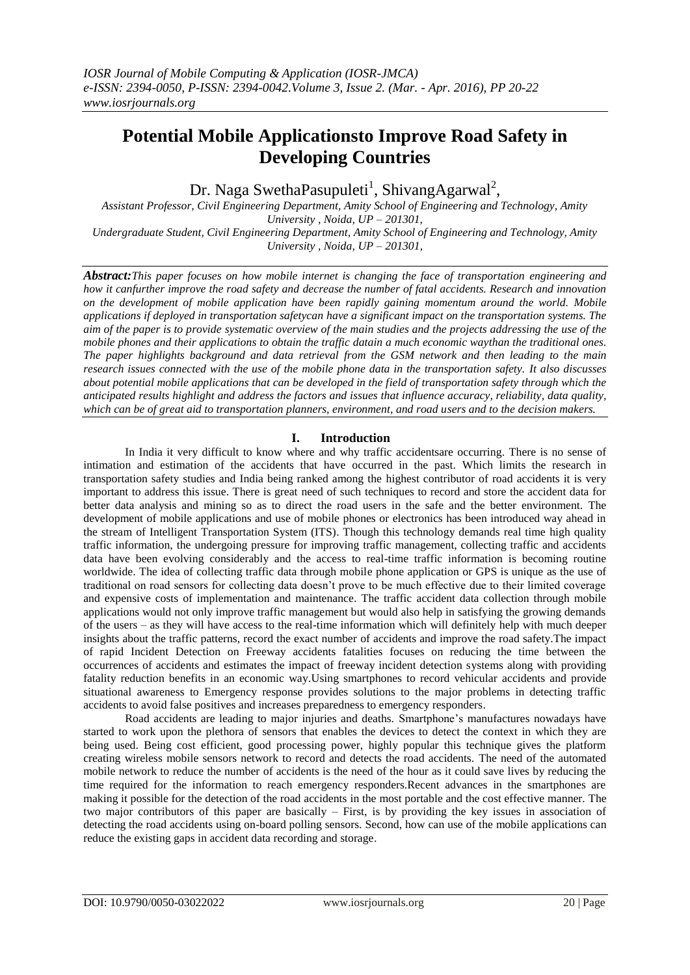# **Potential Mobile Applicationsto Improve Road Safety in Developing Countries**

Dr. Naga SwethaPasupuleti<sup>1</sup>, ShivangAgarwal<sup>2</sup>,

*Assistant Professor, Civil Engineering Department, Amity School of Engineering and Technology, Amity University , Noida, UP – 201301, Undergraduate Student, Civil Engineering Department, Amity School of Engineering and Technology, Amity University , Noida, UP – 201301,*

*Abstract:This paper focuses on how mobile internet is changing the face of transportation engineering and how it canfurther improve the road safety and decrease the number of fatal accidents. Research and innovation on the development of mobile application have been rapidly gaining momentum around the world. Mobile applications if deployed in transportation safetycan have a significant impact on the transportation systems. The aim of the paper is to provide systematic overview of the main studies and the projects addressing the use of the mobile phones and their applications to obtain the traffic datain a much economic waythan the traditional ones. The paper highlights background and data retrieval from the GSM network and then leading to the main research issues connected with the use of the mobile phone data in the transportation safety. It also discusses about potential mobile applications that can be developed in the field of transportation safety through which the anticipated results highlight and address the factors and issues that influence accuracy, reliability, data quality, which can be of great aid to transportation planners, environment, and road users and to the decision makers.*

# **I. Introduction**

In India it very difficult to know where and why traffic accidentsare occurring. There is no sense of intimation and estimation of the accidents that have occurred in the past. Which limits the research in transportation safety studies and India being ranked among the highest contributor of road accidents it is very important to address this issue. There is great need of such techniques to record and store the accident data for better data analysis and mining so as to direct the road users in the safe and the better environment. The development of mobile applications and use of mobile phones or electronics has been introduced way ahead in the stream of Intelligent Transportation System (ITS). Though this technology demands real time high quality traffic information, the undergoing pressure for improving traffic management, collecting traffic and accidents data have been evolving considerably and the access to real-time traffic information is becoming routine worldwide. The idea of collecting traffic data through mobile phone application or GPS is unique as the use of traditional on road sensors for collecting data doesn't prove to be much effective due to their limited coverage and expensive costs of implementation and maintenance. The traffic accident data collection through mobile applications would not only improve traffic management but would also help in satisfying the growing demands of the users – as they will have access to the real-time information which will definitely help with much deeper insights about the traffic patterns, record the exact number of accidents and improve the road safety.The impact of rapid Incident Detection on Freeway accidents fatalities focuses on reducing the time between the occurrences of accidents and estimates the impact of freeway incident detection systems along with providing fatality reduction benefits in an economic way.Using smartphones to record vehicular accidents and provide situational awareness to Emergency response provides solutions to the major problems in detecting traffic accidents to avoid false positives and increases preparedness to emergency responders.

Road accidents are leading to major injuries and deaths. Smartphone's manufactures nowadays have started to work upon the plethora of sensors that enables the devices to detect the context in which they are being used. Being cost efficient, good processing power, highly popular this technique gives the platform creating wireless mobile sensors network to record and detects the road accidents. The need of the automated mobile network to reduce the number of accidents is the need of the hour as it could save lives by reducing the time required for the information to reach emergency responders.Recent advances in the smartphones are making it possible for the detection of the road accidents in the most portable and the cost effective manner. The two major contributors of this paper are basically – First, is by providing the key issues in association of detecting the road accidents using on-board polling sensors. Second, how can use of the mobile applications can reduce the existing gaps in accident data recording and storage.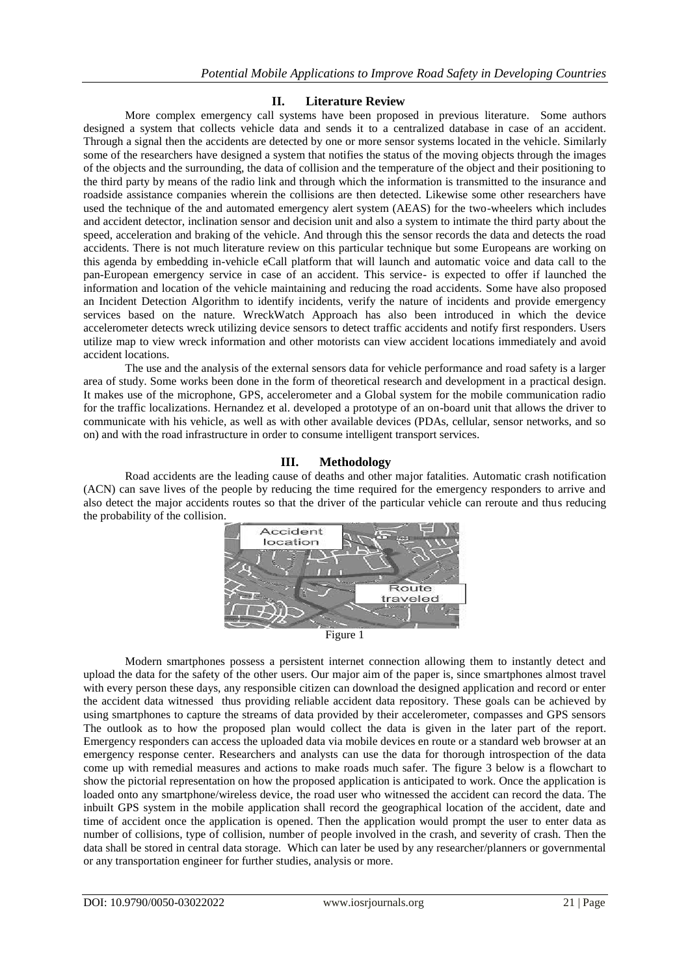#### **II. Literature Review**

More complex emergency call systems have been proposed in previous literature. Some authors designed a system that collects vehicle data and sends it to a centralized database in case of an accident. Through a signal then the accidents are detected by one or more sensor systems located in the vehicle. Similarly some of the researchers have designed a system that notifies the status of the moving objects through the images of the objects and the surrounding, the data of collision and the temperature of the object and their positioning to the third party by means of the radio link and through which the information is transmitted to the insurance and roadside assistance companies wherein the collisions are then detected. Likewise some other researchers have used the technique of the and automated emergency alert system (AEAS) for the two-wheelers which includes and accident detector, inclination sensor and decision unit and also a system to intimate the third party about the speed, acceleration and braking of the vehicle. And through this the sensor records the data and detects the road accidents. There is not much literature review on this particular technique but some Europeans are working on this agenda by embedding in-vehicle eCall platform that will launch and automatic voice and data call to the pan-European emergency service in case of an accident. This service- is expected to offer if launched the information and location of the vehicle maintaining and reducing the road accidents. Some have also proposed an Incident Detection Algorithm to identify incidents, verify the nature of incidents and provide emergency services based on the nature. WreckWatch Approach has also been introduced in which the device accelerometer detects wreck utilizing device sensors to detect traffic accidents and notify first responders. Users utilize map to view wreck information and other motorists can view accident locations immediately and avoid accident locations.

The use and the analysis of the external sensors data for vehicle performance and road safety is a larger area of study. Some works been done in the form of theoretical research and development in a practical design. It makes use of the microphone, GPS, accelerometer and a Global system for the mobile communication radio for the traffic localizations. Hernandez et al. developed a prototype of an on-board unit that allows the driver to communicate with his vehicle, as well as with other available devices (PDAs, cellular, sensor networks, and so on) and with the road infrastructure in order to consume intelligent transport services.

### **III. Methodology**

Road accidents are the leading cause of deaths and other major fatalities. Automatic crash notification (ACN) can save lives of the people by reducing the time required for the emergency responders to arrive and also detect the major accidents routes so that the driver of the particular vehicle can reroute and thus reducing the probability of the collision.



Figure 1

Modern smartphones possess a persistent internet connection allowing them to instantly detect and upload the data for the safety of the other users. Our major aim of the paper is, since smartphones almost travel with every person these days, any responsible citizen can download the designed application and record or enter the accident data witnessed thus providing reliable accident data repository. These goals can be achieved by using smartphones to capture the streams of data provided by their accelerometer, compasses and GPS sensors The outlook as to how the proposed plan would collect the data is given in the later part of the report. Emergency responders can access the uploaded data via mobile devices en route or a standard web browser at an emergency response center. Researchers and analysts can use the data for thorough introspection of the data come up with remedial measures and actions to make roads much safer. The figure 3 below is a flowchart to show the pictorial representation on how the proposed application is anticipated to work. Once the application is loaded onto any smartphone/wireless device, the road user who witnessed the accident can record the data. The inbuilt GPS system in the mobile application shall record the geographical location of the accident, date and time of accident once the application is opened. Then the application would prompt the user to enter data as number of collisions, type of collision, number of people involved in the crash, and severity of crash. Then the data shall be stored in central data storage. Which can later be used by any researcher/planners or governmental or any transportation engineer for further studies, analysis or more.